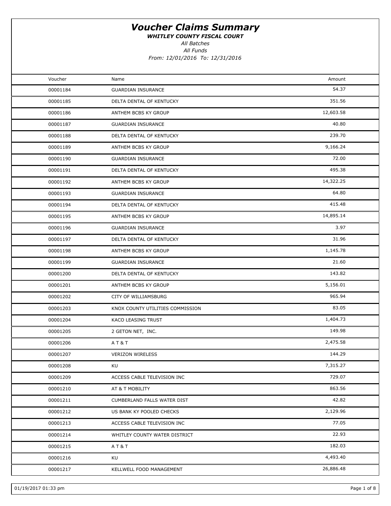WHITLEY COUNTY FISCAL COURT

All Batches

All Funds From: 12/01/2016 To: 12/31/2016

| Voucher<br>Amount<br>Name<br>54.37<br>00001184<br><b>GUARDIAN INSURANCE</b><br>351.56<br>00001185<br>DELTA DENTAL OF KENTUCKY<br>12,603.58<br>00001186<br>ANTHEM BCBS KY GROUP<br>40.80<br>00001187<br><b>GUARDIAN INSURANCE</b><br>239.70<br>00001188<br>DELTA DENTAL OF KENTUCKY<br>9,166.24<br>00001189<br>ANTHEM BCBS KY GROUP<br>72.00<br>00001190<br><b>GUARDIAN INSURANCE</b><br>495.38<br>DELTA DENTAL OF KENTUCKY<br>00001191<br>14,322.25<br>00001192<br>ANTHEM BCBS KY GROUP<br>64.80<br>00001193<br><b>GUARDIAN INSURANCE</b><br>415.48<br>00001194<br>DELTA DENTAL OF KENTUCKY<br>14,895.14<br>00001195<br>ANTHEM BCBS KY GROUP<br>3.97<br>00001196<br><b>GUARDIAN INSURANCE</b><br>31.96<br>00001197<br>DELTA DENTAL OF KENTUCKY<br>1,145.78<br>00001198<br>ANTHEM BCBS KY GROUP<br>21.60<br>00001199<br><b>GUARDIAN INSURANCE</b><br>143.82<br>DELTA DENTAL OF KENTUCKY<br>00001200<br>5,156.01<br>00001201<br>ANTHEM BCBS KY GROUP<br>965.94<br>CITY OF WILLIAMSBURG<br>00001202<br>83.05<br>00001203<br>KNOX COUNTY UTILITIES COMMISSION<br>1,404.73<br>00001204<br>KACO LEASING TRUST<br>149.98<br>00001205<br>2 GETON NET, INC.<br>2,475.58<br>AT&T<br>00001206<br>144.29<br>00001207<br><b>VERIZON WIRELESS</b><br>7,315.27<br>00001208<br>KU<br>729.07<br>00001209<br>ACCESS CABLE TELEVISION INC<br>863.56<br>00001210<br>AT & T MOBILITY<br>42.82<br>00001211<br>CUMBERLAND FALLS WATER DIST<br>2,129.96<br>00001212<br>US BANK KY POOLED CHECKS<br>77.05<br>00001213<br>ACCESS CABLE TELEVISION INC<br>22.93<br>00001214<br>WHITLEY COUNTY WATER DISTRICT<br>182.03<br>AT&T<br>00001215<br>4,493.40<br>KU<br>00001216<br>26,886.48<br>00001217<br>KELLWELL FOOD MANAGEMENT |  |  |
|----------------------------------------------------------------------------------------------------------------------------------------------------------------------------------------------------------------------------------------------------------------------------------------------------------------------------------------------------------------------------------------------------------------------------------------------------------------------------------------------------------------------------------------------------------------------------------------------------------------------------------------------------------------------------------------------------------------------------------------------------------------------------------------------------------------------------------------------------------------------------------------------------------------------------------------------------------------------------------------------------------------------------------------------------------------------------------------------------------------------------------------------------------------------------------------------------------------------------------------------------------------------------------------------------------------------------------------------------------------------------------------------------------------------------------------------------------------------------------------------------------------------------------------------------------------------------------------------------------------------------------------------------------------------------------------------------|--|--|
|                                                                                                                                                                                                                                                                                                                                                                                                                                                                                                                                                                                                                                                                                                                                                                                                                                                                                                                                                                                                                                                                                                                                                                                                                                                                                                                                                                                                                                                                                                                                                                                                                                                                                                    |  |  |
|                                                                                                                                                                                                                                                                                                                                                                                                                                                                                                                                                                                                                                                                                                                                                                                                                                                                                                                                                                                                                                                                                                                                                                                                                                                                                                                                                                                                                                                                                                                                                                                                                                                                                                    |  |  |
|                                                                                                                                                                                                                                                                                                                                                                                                                                                                                                                                                                                                                                                                                                                                                                                                                                                                                                                                                                                                                                                                                                                                                                                                                                                                                                                                                                                                                                                                                                                                                                                                                                                                                                    |  |  |
|                                                                                                                                                                                                                                                                                                                                                                                                                                                                                                                                                                                                                                                                                                                                                                                                                                                                                                                                                                                                                                                                                                                                                                                                                                                                                                                                                                                                                                                                                                                                                                                                                                                                                                    |  |  |
|                                                                                                                                                                                                                                                                                                                                                                                                                                                                                                                                                                                                                                                                                                                                                                                                                                                                                                                                                                                                                                                                                                                                                                                                                                                                                                                                                                                                                                                                                                                                                                                                                                                                                                    |  |  |
|                                                                                                                                                                                                                                                                                                                                                                                                                                                                                                                                                                                                                                                                                                                                                                                                                                                                                                                                                                                                                                                                                                                                                                                                                                                                                                                                                                                                                                                                                                                                                                                                                                                                                                    |  |  |
|                                                                                                                                                                                                                                                                                                                                                                                                                                                                                                                                                                                                                                                                                                                                                                                                                                                                                                                                                                                                                                                                                                                                                                                                                                                                                                                                                                                                                                                                                                                                                                                                                                                                                                    |  |  |
|                                                                                                                                                                                                                                                                                                                                                                                                                                                                                                                                                                                                                                                                                                                                                                                                                                                                                                                                                                                                                                                                                                                                                                                                                                                                                                                                                                                                                                                                                                                                                                                                                                                                                                    |  |  |
|                                                                                                                                                                                                                                                                                                                                                                                                                                                                                                                                                                                                                                                                                                                                                                                                                                                                                                                                                                                                                                                                                                                                                                                                                                                                                                                                                                                                                                                                                                                                                                                                                                                                                                    |  |  |
|                                                                                                                                                                                                                                                                                                                                                                                                                                                                                                                                                                                                                                                                                                                                                                                                                                                                                                                                                                                                                                                                                                                                                                                                                                                                                                                                                                                                                                                                                                                                                                                                                                                                                                    |  |  |
|                                                                                                                                                                                                                                                                                                                                                                                                                                                                                                                                                                                                                                                                                                                                                                                                                                                                                                                                                                                                                                                                                                                                                                                                                                                                                                                                                                                                                                                                                                                                                                                                                                                                                                    |  |  |
|                                                                                                                                                                                                                                                                                                                                                                                                                                                                                                                                                                                                                                                                                                                                                                                                                                                                                                                                                                                                                                                                                                                                                                                                                                                                                                                                                                                                                                                                                                                                                                                                                                                                                                    |  |  |
|                                                                                                                                                                                                                                                                                                                                                                                                                                                                                                                                                                                                                                                                                                                                                                                                                                                                                                                                                                                                                                                                                                                                                                                                                                                                                                                                                                                                                                                                                                                                                                                                                                                                                                    |  |  |
|                                                                                                                                                                                                                                                                                                                                                                                                                                                                                                                                                                                                                                                                                                                                                                                                                                                                                                                                                                                                                                                                                                                                                                                                                                                                                                                                                                                                                                                                                                                                                                                                                                                                                                    |  |  |
|                                                                                                                                                                                                                                                                                                                                                                                                                                                                                                                                                                                                                                                                                                                                                                                                                                                                                                                                                                                                                                                                                                                                                                                                                                                                                                                                                                                                                                                                                                                                                                                                                                                                                                    |  |  |
|                                                                                                                                                                                                                                                                                                                                                                                                                                                                                                                                                                                                                                                                                                                                                                                                                                                                                                                                                                                                                                                                                                                                                                                                                                                                                                                                                                                                                                                                                                                                                                                                                                                                                                    |  |  |
|                                                                                                                                                                                                                                                                                                                                                                                                                                                                                                                                                                                                                                                                                                                                                                                                                                                                                                                                                                                                                                                                                                                                                                                                                                                                                                                                                                                                                                                                                                                                                                                                                                                                                                    |  |  |
|                                                                                                                                                                                                                                                                                                                                                                                                                                                                                                                                                                                                                                                                                                                                                                                                                                                                                                                                                                                                                                                                                                                                                                                                                                                                                                                                                                                                                                                                                                                                                                                                                                                                                                    |  |  |
|                                                                                                                                                                                                                                                                                                                                                                                                                                                                                                                                                                                                                                                                                                                                                                                                                                                                                                                                                                                                                                                                                                                                                                                                                                                                                                                                                                                                                                                                                                                                                                                                                                                                                                    |  |  |
|                                                                                                                                                                                                                                                                                                                                                                                                                                                                                                                                                                                                                                                                                                                                                                                                                                                                                                                                                                                                                                                                                                                                                                                                                                                                                                                                                                                                                                                                                                                                                                                                                                                                                                    |  |  |
|                                                                                                                                                                                                                                                                                                                                                                                                                                                                                                                                                                                                                                                                                                                                                                                                                                                                                                                                                                                                                                                                                                                                                                                                                                                                                                                                                                                                                                                                                                                                                                                                                                                                                                    |  |  |
|                                                                                                                                                                                                                                                                                                                                                                                                                                                                                                                                                                                                                                                                                                                                                                                                                                                                                                                                                                                                                                                                                                                                                                                                                                                                                                                                                                                                                                                                                                                                                                                                                                                                                                    |  |  |
|                                                                                                                                                                                                                                                                                                                                                                                                                                                                                                                                                                                                                                                                                                                                                                                                                                                                                                                                                                                                                                                                                                                                                                                                                                                                                                                                                                                                                                                                                                                                                                                                                                                                                                    |  |  |
|                                                                                                                                                                                                                                                                                                                                                                                                                                                                                                                                                                                                                                                                                                                                                                                                                                                                                                                                                                                                                                                                                                                                                                                                                                                                                                                                                                                                                                                                                                                                                                                                                                                                                                    |  |  |
|                                                                                                                                                                                                                                                                                                                                                                                                                                                                                                                                                                                                                                                                                                                                                                                                                                                                                                                                                                                                                                                                                                                                                                                                                                                                                                                                                                                                                                                                                                                                                                                                                                                                                                    |  |  |
|                                                                                                                                                                                                                                                                                                                                                                                                                                                                                                                                                                                                                                                                                                                                                                                                                                                                                                                                                                                                                                                                                                                                                                                                                                                                                                                                                                                                                                                                                                                                                                                                                                                                                                    |  |  |
|                                                                                                                                                                                                                                                                                                                                                                                                                                                                                                                                                                                                                                                                                                                                                                                                                                                                                                                                                                                                                                                                                                                                                                                                                                                                                                                                                                                                                                                                                                                                                                                                                                                                                                    |  |  |
|                                                                                                                                                                                                                                                                                                                                                                                                                                                                                                                                                                                                                                                                                                                                                                                                                                                                                                                                                                                                                                                                                                                                                                                                                                                                                                                                                                                                                                                                                                                                                                                                                                                                                                    |  |  |
|                                                                                                                                                                                                                                                                                                                                                                                                                                                                                                                                                                                                                                                                                                                                                                                                                                                                                                                                                                                                                                                                                                                                                                                                                                                                                                                                                                                                                                                                                                                                                                                                                                                                                                    |  |  |
|                                                                                                                                                                                                                                                                                                                                                                                                                                                                                                                                                                                                                                                                                                                                                                                                                                                                                                                                                                                                                                                                                                                                                                                                                                                                                                                                                                                                                                                                                                                                                                                                                                                                                                    |  |  |
|                                                                                                                                                                                                                                                                                                                                                                                                                                                                                                                                                                                                                                                                                                                                                                                                                                                                                                                                                                                                                                                                                                                                                                                                                                                                                                                                                                                                                                                                                                                                                                                                                                                                                                    |  |  |
|                                                                                                                                                                                                                                                                                                                                                                                                                                                                                                                                                                                                                                                                                                                                                                                                                                                                                                                                                                                                                                                                                                                                                                                                                                                                                                                                                                                                                                                                                                                                                                                                                                                                                                    |  |  |
|                                                                                                                                                                                                                                                                                                                                                                                                                                                                                                                                                                                                                                                                                                                                                                                                                                                                                                                                                                                                                                                                                                                                                                                                                                                                                                                                                                                                                                                                                                                                                                                                                                                                                                    |  |  |
|                                                                                                                                                                                                                                                                                                                                                                                                                                                                                                                                                                                                                                                                                                                                                                                                                                                                                                                                                                                                                                                                                                                                                                                                                                                                                                                                                                                                                                                                                                                                                                                                                                                                                                    |  |  |
|                                                                                                                                                                                                                                                                                                                                                                                                                                                                                                                                                                                                                                                                                                                                                                                                                                                                                                                                                                                                                                                                                                                                                                                                                                                                                                                                                                                                                                                                                                                                                                                                                                                                                                    |  |  |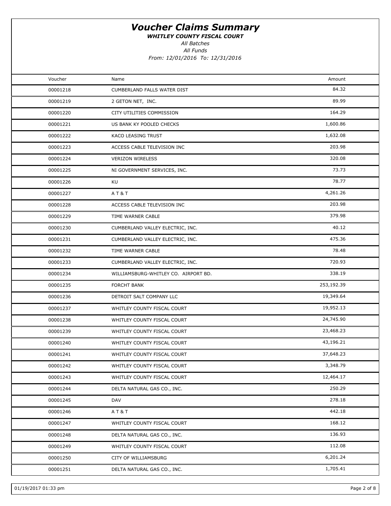WHITLEY COUNTY FISCAL COURT

All Batches

All Funds

| Voucher  | Name                                 | Amount     |  |
|----------|--------------------------------------|------------|--|
| 00001218 | CUMBERLAND FALLS WATER DIST          | 84.32      |  |
| 00001219 | 2 GETON NET, INC.                    | 89.99      |  |
| 00001220 | CITY UTILITIES COMMISSION            | 164.29     |  |
| 00001221 | US BANK KY POOLED CHECKS             | 1,600.86   |  |
| 00001222 | KACO LEASING TRUST                   | 1,632.08   |  |
| 00001223 | ACCESS CABLE TELEVISION INC          | 203.98     |  |
| 00001224 | <b>VERIZON WIRELESS</b>              | 320.08     |  |
| 00001225 | NI GOVERNMENT SERVICES, INC.         | 73.73      |  |
| 00001226 | KU                                   | 78.77      |  |
| 00001227 | <b>AT&amp;T</b>                      | 4,261.26   |  |
| 00001228 | ACCESS CABLE TELEVISION INC          | 203.98     |  |
| 00001229 | TIME WARNER CABLE                    | 379.98     |  |
| 00001230 | CUMBERLAND VALLEY ELECTRIC, INC.     | 40.12      |  |
| 00001231 | CUMBERLAND VALLEY ELECTRIC, INC.     | 475.36     |  |
| 00001232 | TIME WARNER CABLE                    | 78.48      |  |
| 00001233 | CUMBERLAND VALLEY ELECTRIC, INC.     | 720.93     |  |
| 00001234 | WILLIAMSBURG-WHITLEY CO. AIRPORT BD. | 338.19     |  |
| 00001235 | <b>FORCHT BANK</b>                   | 253,192.39 |  |
| 00001236 | DETROIT SALT COMPANY LLC             | 19,349.64  |  |
| 00001237 | WHITLEY COUNTY FISCAL COURT          | 19,952.13  |  |
| 00001238 | WHITLEY COUNTY FISCAL COURT          | 24,745.90  |  |
| 00001239 | WHITLEY COUNTY FISCAL COURT          | 23,468.23  |  |
| 00001240 | WHITLEY COUNTY FISCAL COURT          | 43,196.21  |  |
| 00001241 | WHITLEY COUNTY FISCAL COURT          | 37,648.23  |  |
| 00001242 | WHITLEY COUNTY FISCAL COURT          | 3,348.79   |  |
| 00001243 | WHITLEY COUNTY FISCAL COURT          | 12,464.17  |  |
| 00001244 | DELTA NATURAL GAS CO., INC.          | 250.29     |  |
| 00001245 | DAV                                  | 278.18     |  |
| 00001246 | AT&T                                 | 442.18     |  |
| 00001247 | WHITLEY COUNTY FISCAL COURT          | 168.12     |  |
| 00001248 | DELTA NATURAL GAS CO., INC.          | 136.93     |  |
| 00001249 | WHITLEY COUNTY FISCAL COURT          | 112.08     |  |
| 00001250 | CITY OF WILLIAMSBURG                 | 6,201.24   |  |
| 00001251 | DELTA NATURAL GAS CO., INC.          | 1,705.41   |  |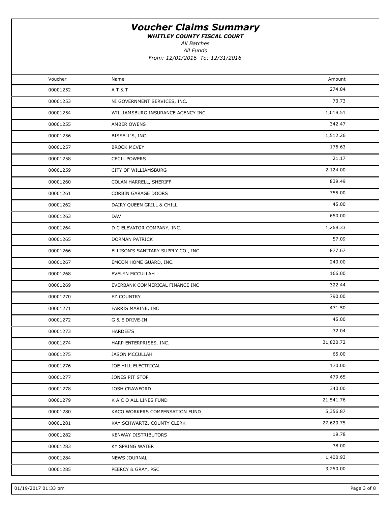WHITLEY COUNTY FISCAL COURT

All Funds All Batches

| Voucher  | Name                                | Amount    |  |
|----------|-------------------------------------|-----------|--|
| 00001252 | AT&T                                | 274.84    |  |
| 00001253 | NI GOVERNMENT SERVICES, INC.        | 73.73     |  |
| 00001254 | WILLIAMSBURG INSURANCE AGENCY INC.  | 1,018.51  |  |
| 00001255 | AMBER OWENS                         | 342.47    |  |
| 00001256 | BISSELL'S, INC.                     | 1,512.26  |  |
| 00001257 | <b>BROCK MCVEY</b>                  | 176.63    |  |
| 00001258 | <b>CECIL POWERS</b>                 | 21.17     |  |
| 00001259 | CITY OF WILLIAMSBURG                | 2,124.00  |  |
| 00001260 | COLAN HARRELL, SHERIFF              | 839.49    |  |
| 00001261 | <b>CORBIN GARAGE DOORS</b>          | 755.00    |  |
| 00001262 | DAIRY QUEEN GRILL & CHILL           | 45.00     |  |
| 00001263 | <b>DAV</b>                          | 650.00    |  |
| 00001264 | D C ELEVATOR COMPANY, INC.          | 1,268.33  |  |
| 00001265 | <b>DORMAN PATRICK</b>               | 57.09     |  |
| 00001266 | ELLISON'S SANITARY SUPPLY CO., INC. | 877.67    |  |
| 00001267 | EMCON HOME GUARD, INC.              | 240.00    |  |
| 00001268 | EVELYN MCCULLAH                     | 166.00    |  |
| 00001269 | EVERBANK COMMERICAL FINANCE INC     | 322.44    |  |
| 00001270 | <b>EZ COUNTRY</b>                   | 790.00    |  |
| 00001271 | FARRIS MARINE, INC                  | 471.50    |  |
| 00001272 | G & E DRIVE-IN                      | 45.00     |  |
| 00001273 | <b>HARDEE'S</b>                     | 32.04     |  |
| 00001274 | HARP ENTERPRISES, INC.              | 31,820.72 |  |
| 00001275 | <b>JASON MCCULLAH</b>               | 65.00     |  |
| 00001276 | JOE HILL ELECTRICAL                 | 170.00    |  |
| 00001277 | JONES PIT STOP                      | 479.65    |  |
| 00001278 | <b>JOSH CRAWFORD</b>                | 340.00    |  |
| 00001279 | K A C O ALL LINES FUND              | 21,541.76 |  |
| 00001280 | KACO WORKERS COMPENSATION FUND      | 5,356.87  |  |
| 00001281 | KAY SCHWARTZ, COUNTY CLERK          | 27,620.75 |  |
| 00001282 | KENWAY DISTRIBUTORS                 | 19.78     |  |
| 00001283 | KY SPRING WATER                     | 38.00     |  |
| 00001284 | <b>NEWS JOURNAL</b>                 | 1,400.93  |  |
| 00001285 | PEERCY & GRAY, PSC                  | 3,250.00  |  |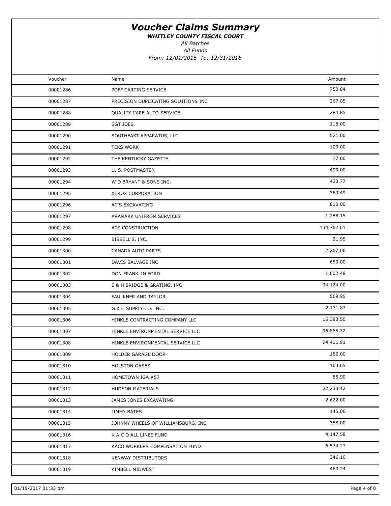WHITLEY COUNTY FISCAL COURT

All Batches

All Funds

| Voucher  | Name                                | Amount     |  |
|----------|-------------------------------------|------------|--|
| 00001286 | POFF CARTING SERVICE                | 750.84     |  |
| 00001287 | PRECISION DUPLICATING SOLUTIONS INC | 267.85     |  |
| 00001288 | QUALITY CARE AUTO SERVICE           | 284.85     |  |
| 00001289 | SGT JOES                            | 118.00     |  |
| 00001290 | SOUTHEAST APPARATUS, LLC            | 521.00     |  |
| 00001291 | <b>TEKS WORK</b>                    | 100.00     |  |
| 00001292 | THE KENTUCKY GAZETTE                | 77.00      |  |
| 00001293 | U. S. POSTMASTER                    | 490.00     |  |
| 00001294 | W D BRYANT & SONS INC.              | 433.77     |  |
| 00001295 | XEROX CORPORATION                   | 389.49     |  |
| 00001296 | <b>AC'S EXCAVATING</b>              | 810.00     |  |
| 00001297 | ARAMARK UNIFROM SERVICES            | 1,288.15   |  |
| 00001298 | ATS CONSTRUCTION                    | 134,762.01 |  |
| 00001299 | BISSELL'S, INC.                     | 21.95      |  |
| 00001300 | <b>CANADA AUTO PARTS</b>            | 2,267.06   |  |
| 00001301 | DAVIS SALVAGE INC                   | 650.00     |  |
| 00001302 | DON FRANKLIN FORD                   | 1,002.48   |  |
| 00001303 | E & H BRIDGE & GRATING, INC         | 34,124.00  |  |
| 00001304 | FAULKNER AND TAYLOR                 | 569.95     |  |
| 00001305 | G & C SUPPLY CO. INC.               | 2,171.87   |  |
| 00001306 | HINKLE CONTRACTING COMPANY LLC      | 16,383.50  |  |
| 00001307 | HINKLE ENVIRONMENTAL SERVICE LLC    | 96,865.32  |  |
| 00001308 | HINKLE ENVIRONMENTAL SERVICE LLC    | 94,411.91  |  |
| 00001309 | HOLDER GARAGE DOOR                  | 186.00     |  |
| 00001310 | <b>HOLSTON GASES</b>                | 103.65     |  |
| 00001311 | HOMETOWN IGA #57                    | 85.90      |  |
| 00001312 | HUDSON MATERIALS                    | 22,233.42  |  |
| 00001313 | JAMES JONES EXCAVATING              | 2,622.00   |  |
| 00001314 | <b>JIMMY BATES</b>                  | 145.06     |  |
| 00001315 | JOHNNY WHEELS OF WILLIAMSBURG, INC  | 358.00     |  |
| 00001316 | K A C O ALL LINES FUND              | 4,147.58   |  |
| 00001317 | KACO WORKERS COMPENSATION FUND      | 6,574.27   |  |
| 00001318 | KENWAY DISTRIBUTORS                 | 346.10     |  |
| 00001319 | KIMBELL MIDWEST                     | 463.24     |  |
|          |                                     |            |  |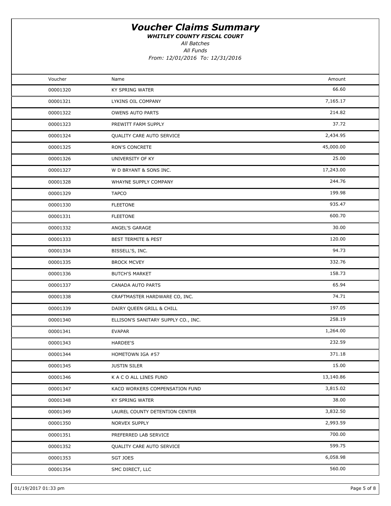WHITLEY COUNTY FISCAL COURT

All Funds All Batches

| Voucher  | Name                                | Amount    |  |
|----------|-------------------------------------|-----------|--|
| 00001320 | KY SPRING WATER                     | 66.60     |  |
| 00001321 | LYKINS OIL COMPANY                  | 7,165.17  |  |
| 00001322 | <b>OWENS AUTO PARTS</b>             | 214.82    |  |
| 00001323 | PREWITT FARM SUPPLY                 | 37.72     |  |
| 00001324 | QUALITY CARE AUTO SERVICE           | 2,434.95  |  |
| 00001325 | RON'S CONCRETE                      | 45,000.00 |  |
| 00001326 | UNIVERSITY OF KY                    | 25.00     |  |
| 00001327 | W D BRYANT & SONS INC.              | 17,243.00 |  |
| 00001328 | WHAYNE SUPPLY COMPANY               | 244.76    |  |
| 00001329 | <b>TAPCO</b>                        | 199.98    |  |
| 00001330 | <b>FLEETONE</b>                     | 935.47    |  |
| 00001331 | <b>FLEETONE</b>                     | 600.70    |  |
| 00001332 | ANGEL'S GARAGE                      | 30.00     |  |
| 00001333 | <b>BEST TERMITE &amp; PEST</b>      | 120.00    |  |
| 00001334 | BISSELL'S, INC.                     | 94.73     |  |
| 00001335 | <b>BROCK MCVEY</b>                  | 332.76    |  |
| 00001336 | <b>BUTCH'S MARKET</b>               | 158.73    |  |
| 00001337 | CANADA AUTO PARTS                   | 65.94     |  |
| 00001338 | CRAFTMASTER HARDWARE CO, INC.       | 74.71     |  |
| 00001339 | DAIRY QUEEN GRILL & CHILL           | 197.05    |  |
| 00001340 | ELLISON'S SANITARY SUPPLY CO., INC. | 258.19    |  |
| 00001341 | <b>EVAPAR</b>                       | 1,264.00  |  |
| 00001343 | HARDEE'S                            | 232.59    |  |
| 00001344 | HOMETOWN IGA #57                    | 371.18    |  |
| 00001345 | <b>JUSTIN SILER</b>                 | 15.00     |  |
| 00001346 | K A C O ALL LINES FUND              | 13,140.86 |  |
| 00001347 | KACO WORKERS COMPENSATION FUND      | 3,815.02  |  |
| 00001348 | KY SPRING WATER                     | 38.00     |  |
| 00001349 | LAUREL COUNTY DETENTION CENTER      | 3,832.50  |  |
| 00001350 | NORVEX SUPPLY                       | 2,993.59  |  |
| 00001351 | PREFERRED LAB SERVICE               | 700.00    |  |
| 00001352 | QUALITY CARE AUTO SERVICE           | 599.75    |  |
| 00001353 | SGT JOES                            | 6,058.98  |  |
| 00001354 | SMC DIRECT, LLC                     | 560.00    |  |
|          |                                     |           |  |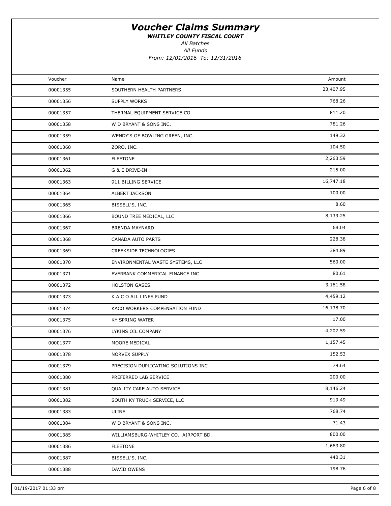WHITLEY COUNTY FISCAL COURT

All Batches

All Funds

| Voucher  | Name                                 | Amount    |  |
|----------|--------------------------------------|-----------|--|
| 00001355 | SOUTHERN HEALTH PARTNERS             | 23,407.95 |  |
| 00001356 | SUPPLY WORKS                         | 768.26    |  |
| 00001357 | THERMAL EQUIPMENT SERVICE CO.        | 811.20    |  |
| 00001358 | W D BRYANT & SONS INC.               | 781.26    |  |
| 00001359 | WENDY'S OF BOWLING GREEN, INC.       | 149.32    |  |
| 00001360 | ZORO, INC.                           | 104.50    |  |
| 00001361 | <b>FLEETONE</b>                      | 2,263.59  |  |
| 00001362 | G & E DRIVE-IN                       | 215.00    |  |
| 00001363 | 911 BILLING SERVICE                  | 16,747.18 |  |
| 00001364 | ALBERT JACKSON                       | 100.00    |  |
| 00001365 | BISSELL'S, INC.                      | 8.60      |  |
| 00001366 | BOUND TREE MEDICAL, LLC              | 8,139.25  |  |
| 00001367 | <b>BRENDA MAYNARD</b>                | 68.04     |  |
| 00001368 | CANADA AUTO PARTS                    | 228.38    |  |
| 00001369 | <b>CREEKSIDE TECHNOLOGIES</b>        | 384.89    |  |
| 00001370 | ENVIRONMENTAL WASTE SYSTEMS, LLC     | 560.00    |  |
| 00001371 | EVERBANK COMMERICAL FINANCE INC      | 80.61     |  |
| 00001372 | <b>HOLSTON GASES</b>                 | 3,161.58  |  |
| 00001373 | K A C O ALL LINES FUND               | 4,459.12  |  |
| 00001374 | KACO WORKERS COMPENSATION FUND       | 16,138.70 |  |
| 00001375 | KY SPRING WATER                      | 17.00     |  |
| 00001376 | LYKINS OIL COMPANY                   | 4,207.59  |  |
| 00001377 | MOORE MEDICAL                        | 1,157.45  |  |
| 00001378 | <b>NORVEX SUPPLY</b>                 | 152.53    |  |
| 00001379 | PRECISION DUPLICATING SOLUTIONS INC  | 79.64     |  |
| 00001380 | PREFERRED LAB SERVICE                | 200.00    |  |
| 00001381 | QUALITY CARE AUTO SERVICE            | 8,146.24  |  |
| 00001382 | SOUTH KY TRUCK SERVICE, LLC          | 919.49    |  |
| 00001383 | ULINE                                | 768.74    |  |
| 00001384 | W D BRYANT & SONS INC.               | 71.43     |  |
| 00001385 | WILLIAMSBURG-WHITLEY CO. AIRPORT BD. | 800.00    |  |
| 00001386 | <b>FLEETONE</b>                      | 1,663.80  |  |
| 00001387 | BISSELL'S, INC.                      | 440.31    |  |
| 00001388 | DAVID OWENS                          | 198.76    |  |
|          |                                      |           |  |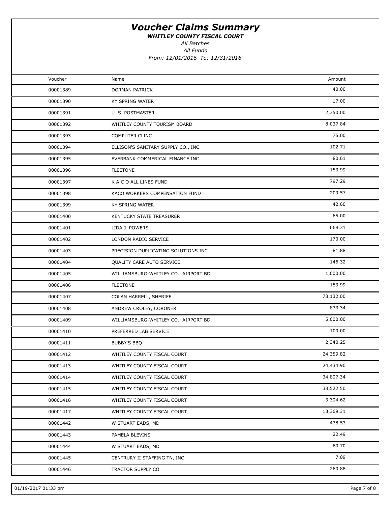WHITLEY COUNTY FISCAL COURT

All Batches

All Funds

| Voucher  | Name                                 | Amount    |  |
|----------|--------------------------------------|-----------|--|
| 00001389 | DORMAN PATRICK                       | 40.00     |  |
| 00001390 | KY SPRING WATER                      | 17.00     |  |
| 00001391 | U. S. POSTMASTER                     | 2,350.00  |  |
| 00001392 | WHITLEY COUNTY TOURISM BOARD         | 8,037.84  |  |
| 00001393 | COMPUTER CLINC                       | 75.00     |  |
| 00001394 | ELLISON'S SANITARY SUPPLY CO., INC.  | 102.71    |  |
| 00001395 | EVERBANK COMMERICAL FINANCE INC      | 80.61     |  |
| 00001396 | <b>FLEETONE</b>                      | 153.99    |  |
| 00001397 | K A C O ALL LINES FUND               | 797.29    |  |
| 00001398 | KACO WORKERS COMPENSATION FUND       | 209.57    |  |
| 00001399 | KY SPRING WATER                      | 42.60     |  |
| 00001400 | KENTUCKY STATE TREASURER             | 65.00     |  |
| 00001401 | LIDA J. POWERS                       | 668.31    |  |
| 00001402 | LONDON RADIO SERVICE                 | 170.00    |  |
| 00001403 | PRECISION DUPLICATING SOLUTIONS INC  | 81.88     |  |
| 00001404 | QUALITY CARE AUTO SERVICE            | 146.32    |  |
| 00001405 | WILLIAMSBURG-WHITLEY CO. AIRPORT BD. | 1,000.00  |  |
| 00001406 | <b>FLEETONE</b>                      | 153.99    |  |
| 00001407 | COLAN HARRELL, SHERIFF               | 78,132.00 |  |
| 00001408 | ANDREW CROLEY, CORONER               | 833.34    |  |
| 00001409 | WILLIAMSBURG-WHITLEY CO. AIRPORT BD. | 5,000.00  |  |
| 00001410 | PREFERRED LAB SERVICE                | 100.00    |  |
| 00001411 | <b>BUBBY'S BBQ</b>                   | 2,340.25  |  |
| 00001412 | WHITLEY COUNTY FISCAL COURT          | 24,359.82 |  |
| 00001413 | WHITLEY COUNTY FISCAL COURT          | 24,434.90 |  |
| 00001414 | WHITLEY COUNTY FISCAL COURT          | 34,807.34 |  |
| 00001415 | WHITLEY COUNTY FISCAL COURT          | 38,522.50 |  |
| 00001416 | WHITLEY COUNTY FISCAL COURT          | 3,304.62  |  |
| 00001417 | WHITLEY COUNTY FISCAL COURT          | 13,369.31 |  |
| 00001442 | W STUART EADS, MD                    | 438.53    |  |
| 00001443 | PAMELA BLEVINS                       | 22.49     |  |
| 00001444 | W STUART EADS, MD                    | 60.70     |  |
| 00001445 | CENTRURY II STAFFING TN, INC         | 7.09      |  |
| 00001446 | TRACTOR SUPPLY CO                    | 260.88    |  |